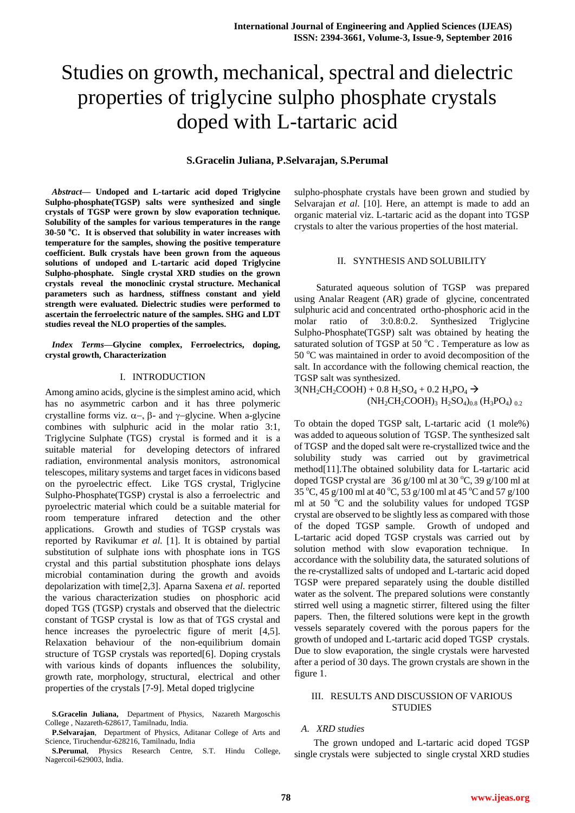# Studies on growth, mechanical, spectral and dielectric properties of triglycine sulpho phosphate crystals doped with L-tartaric acid

# **S.Gracelin Juliana, P.Selvarajan, S.Perumal**

*Abstract***— Undoped and L-tartaric acid doped Triglycine Sulpho-phosphate(TGSP) salts were synthesized and single crystals of TGSP were grown by slow evaporation technique. Solubility of the samples for various temperatures in the range 30-50 <sup>o</sup>C. It is observed that solubility in water increases with temperature for the samples, showing the positive temperature coefficient. Bulk crystals have been grown from the aqueous solutions of undoped and L-tartaric acid doped Triglycine Sulpho-phosphate. Single crystal XRD studies on the grown crystals reveal the monoclinic crystal structure. Mechanical parameters such as hardness, stiffness constant and yield strength were evaluated. Dielectric studies were performed to ascertain the ferroelectric nature of the samples. SHG and LDT studies reveal the NLO properties of the samples.**

## *Index Terms***—Glycine complex, Ferroelectrics, doping, crystal growth, Characterization**

## I. INTRODUCTION

Among amino acids, glycine is the simplest amino acid, which has no asymmetric carbon and it has three polymeric crystalline forms viz.  $\alpha$ -,  $\beta$ - and  $\gamma$ -glycine. When a-glycine combines with sulphuric acid in the molar ratio 3:1, Triglycine Sulphate (TGS) crystal is formed and it is a suitable material for developing detectors of infrared radiation, environmental analysis monitors, astronomical telescopes, military systems and target faces in vidicons based on the pyroelectric effect. Like TGS crystal, Triglycine Sulpho-Phosphate(TGSP) crystal is also a ferroelectric and pyroelectric material which could be a suitable material for room temperature infrared detection and the other applications. Growth and studies of TGSP crystals was reported by Ravikumar *et al.* [1]. It is obtained by partial substitution of sulphate ions with phosphate ions in TGS crystal and this partial substitution phosphate ions delays microbial contamination during the growth and avoids depolarization with time[2,3]. Aparna Saxena *et al*. reported the various characterization studies on phosphoric acid doped TGS (TGSP) crystals and observed that the dielectric constant of TGSP crystal is low as that of TGS crystal and hence increases the pyroelectric figure of merit [4,5]. Relaxation behaviour of the non-equilibrium domain structure of TGSP crystals was reported[6]. Doping crystals with various kinds of dopants influences the solubility, growth rate, morphology, structural, electrical and other properties of the crystals [7-9]. Metal doped triglycine

sulpho-phosphate crystals have been grown and studied by Selvarajan *et al*. [10]. Here, an attempt is made to add an organic material viz. L-tartaric acid as the dopant into TGSP crystals to alter the various properties of the host material.

# II. SYNTHESIS AND SOLUBILITY

 Saturated aqueous solution of TGSP was prepared using Analar Reagent (AR) grade of glycine, concentrated sulphuric acid and concentrated ortho-phosphoric acid in the molar ratio of 3:0.8:0.2. Synthesized Triglycine Sulpho-Phosphate(TGSP) salt was obtained by heating the saturated solution of TGSP at 50  $^{\circ}$ C. Temperature as low as 50 °C was maintained in order to avoid decomposition of the salt. In accordance with the following chemical reaction, the TGSP salt was synthesized.

 $3(NH_2CH_2COOH) + 0.8 H_2SO_4 + 0.2 H_3PO_4 \rightarrow$  $(NH_2CH_2COOH)$ <sub>3</sub>  $H_2SO_4)$ <sub>0.8</sub>  $(H_3PO_4)$ <sub>0.2</sub>

To obtain the doped TGSP salt, L-tartaric acid (1 mole%) was added to aqueous solution of TGSP. The synthesized salt of TGSP and the doped salt were re-crystallized twice and the solubility study was carried out by gravimetrical method[11].The obtained solubility data for L-tartaric acid doped TGSP crystal are  $36$  g/100 ml at 30 °C, 39 g/100 ml at  $35\degree$ C, 45 g/100 ml at 40  $\degree$ C, 53 g/100 ml at 45  $\degree$ C and 57 g/100 ml at 50 $\degree$ C and the solubility values for undoped TGSP crystal are observed to be slightly less as compared with those of the doped TGSP sample. Growth of undoped and L-tartaric acid doped TGSP crystals was carried out by solution method with slow evaporation technique. In accordance with the solubility data, the saturated solutions of the re-crystallized salts of undoped and L-tartaric acid doped TGSP were prepared separately using the double distilled water as the solvent. The prepared solutions were constantly stirred well using a magnetic stirrer, filtered using the filter papers. Then, the filtered solutions were kept in the growth vessels separately covered with the porous papers for the growth of undoped and L-tartaric acid doped TGSP crystals. Due to slow evaporation, the single crystals were harvested after a period of 30 days. The grown crystals are shown in the figure 1.

## III. RESULTS AND DISCUSSION OF VARIOUS **STUDIES**

#### *A. XRD studies*

 The grown undoped and L-tartaric acid doped TGSP single crystals were subjected to single crystal XRD studies

**S.Gracelin Juliana,** Department of Physics, Nazareth Margoschis College , Nazareth-628617, Tamilnadu, India.

**P.Selvarajan**, Department of Physics, Aditanar College of Arts and Science, Tiruchendur-628216, Tamilnadu, India

**S.Perumal**, Physics Research Centre, S.T. Hindu College, Nagercoil-629003, India.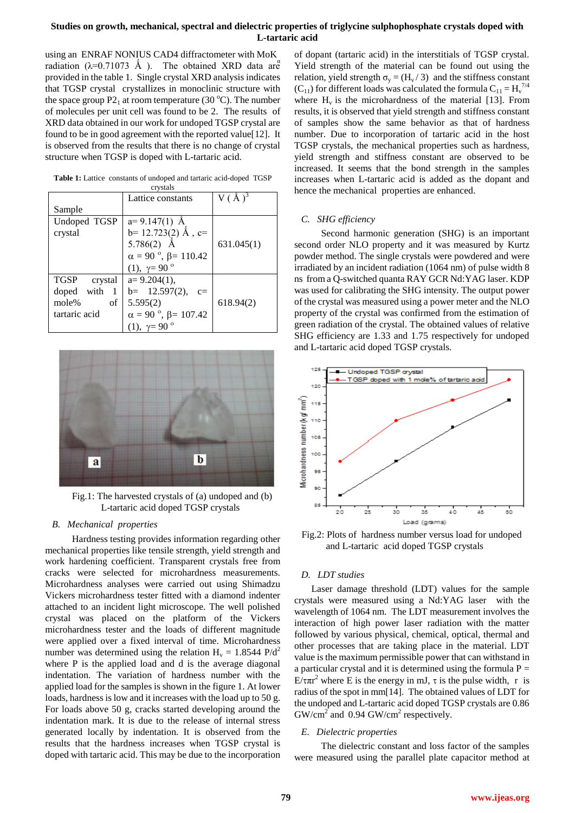## **Studies on growth, mechanical, spectral and dielectric properties of triglycine sulphophosphate crystals doped with L-tartaric acid**

using an ENRAF NONIUS CAD4 diffractometer with MoK radiation ( $\lambda$ =0.71073 Å). The obtained XRD data are provided in the table 1. Single crystal XRD analysis indicates that TGSP crystal crystallizes in monoclinic structure with the space group  $P2_1$  at room temperature (30 °C). The number of molecules per unit cell was found to be 2. The results of XRD data obtained in our work for undoped TGSP crystal are found to be in good agreement with the reported value[12]. It is observed from the results that there is no change of crystal structure when TGSP is doped with L-tartaric acid.

| <b>Table 1:</b> Lattice constants of undoped and tartaric acid-doped TGSP |  |
|---------------------------------------------------------------------------|--|
| crystals                                                                  |  |

| $\mathbf{v}$ , , $\mathbf{v}$ |                                               |            |  |
|-------------------------------|-----------------------------------------------|------------|--|
|                               | Lattice constants                             |            |  |
| Sample                        |                                               |            |  |
| Undoped TGSP                  | $a=9.147(1)$ Å                                |            |  |
| crystal                       | $b=12.723(2)$ Å, c=                           |            |  |
|                               | 5.786 $(2)$ Å                                 | 631.045(1) |  |
|                               | $\alpha = 90$ °, $\beta = 110.42$             |            |  |
|                               | (1), $\gamma = 90^\circ$                      |            |  |
| <b>TGSP</b><br>crystal        | $a=9.204(1)$ ,                                |            |  |
| doped<br>with                 | $b = 12.597(2)$ ,<br>$c=$                     |            |  |
| mole%<br>of                   | 5.595(2)                                      | 618.94(2)  |  |
| tartaric acid                 | $\alpha = 90$ <sup>o</sup> , $\beta = 107.42$ |            |  |
|                               | (1), $\gamma = 90^\circ$                      |            |  |



Fig.1: The harvested crystals of (a) undoped and (b) L-tartaric acid doped TGSP crystals

### *B. Mechanical properties*

 Hardness testing provides information regarding other mechanical properties like tensile strength, yield strength and work hardening coefficient. Transparent crystals free from cracks were selected for microhardness measurements. Microhardness analyses were carried out using Shimadzu Vickers microhardness tester fitted with a diamond indenter attached to an incident light microscope. The well polished crystal was placed on the platform of the Vickers microhardness tester and the loads of different magnitude were applied over a fixed interval of time. Microhardness number was determined using the relation  $H_v = 1.8544 \text{ P/d}^2$ where P is the applied load and d is the average diagonal indentation. The variation of hardness number with the applied load for the samples is shown in the figure 1. At lower loads, hardness is low and it increases with the load up to 50 g. For loads above 50 g, cracks started developing around the indentation mark. It is due to the release of internal stress generated locally by indentation. It is observed from the results that the hardness increases when TGSP crystal is doped with tartaric acid. This may be due to the incorporation

of dopant (tartaric acid) in the interstitials of TGSP crystal. Yield strength of the material can be found out using the relation, yield strength  $\sigma_y = (H_v / 3)$  and the stiffness constant  $(C_{11})$  for different loads was calculated the formula  $C_{11} = H_v^{\frac{7}{4}}$ where  $H_v$  is the microhardness of the material [13]. From results, it is observed that yield strength and stiffness constant of samples show the same behavior as that of hardness number. Due to incorporation of tartaric acid in the host TGSP crystals, the mechanical properties such as hardness, yield strength and stiffness constant are observed to be increased. It seems that the bond strength in the samples increases when L-tartaric acid is added as the dopant and hence the mechanical properties are enhanced.

## *C. SHG efficiency*

 Second harmonic generation (SHG) is an important second order NLO property and it was measured by Kurtz powder method. The single crystals were powdered and were irradiated by an incident radiation (1064 nm) of pulse width 8 ns from a Q-switched quanta RAY GCR Nd:YAG laser. KDP was used for calibrating the SHG intensity. The output power of the crystal was measured using a power meter and the NLO property of the crystal was confirmed from the estimation of green radiation of the crystal. The obtained values of relative SHG efficiency are 1.33 and 1.75 respectively for undoped and L-tartaric acid doped TGSP crystals.



 Fig.2: Plots of hardness number versus load for undoped and L-tartaric acid doped TGSP crystals

# *D. LDT studies*

 Laser damage threshold (LDT) values for the sample crystals were measured using a Nd:YAG laser with the wavelength of 1064 nm. The LDT measurement involves the interaction of high power laser radiation with the matter followed by various physical, chemical, optical, thermal and other processes that are taking place in the material. LDT value is the maximum permissible power that can withstand in a particular crystal and it is determined using the formula  $P =$ E/τπ<sup>2</sup> where E is the energy in mJ, τ is the pulse width, r is radius of the spot in mm[14]. The obtained values of LDT for the undoped and L-tartaric acid doped TGSP crystals are 0.86  $GW/cm<sup>2</sup>$  and 0.94 GW/cm<sup>2</sup> respectively.

#### *E. Dielectric properties*

 The dielectric constant and loss factor of the samples were measured using the parallel plate capacitor method at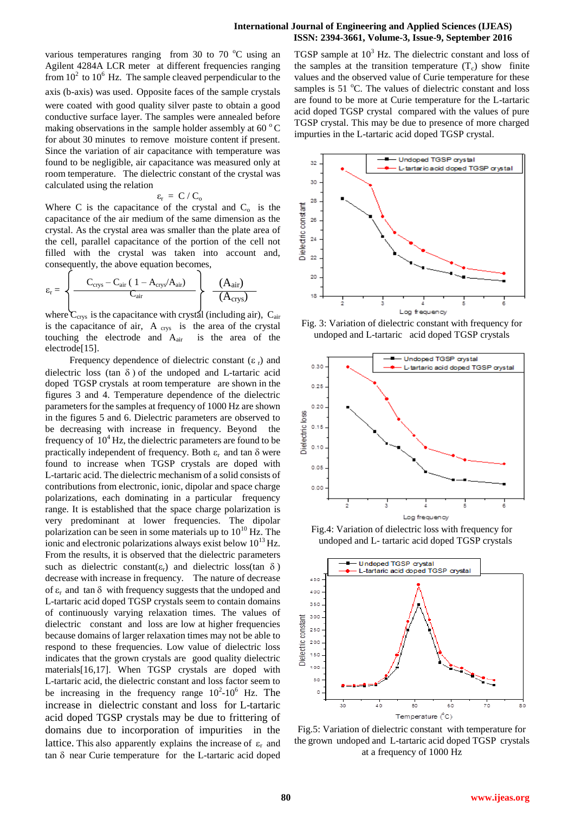various temperatures ranging from 30 to 70  $^{\circ}$ C using an Agilent 4284A LCR meter at different frequencies ranging from  $10^2$  to  $10^6$  Hz. The sample cleaved perpendicular to the axis (b-axis) was used. Opposite faces of the sample crystals were coated with good quality silver paste to obtain a good conductive surface layer. The samples were annealed before making observations in the sample holder assembly at 60 $\degree$ C for about 30 minutes to remove moisture content if present. Since the variation of air capacitance with temperature was found to be negligible, air capacitance was measured only at room temperature. The dielectric constant of the crystal was calculated using the relation

$$
\varepsilon_{\rm r} \ = \ C \ / \ C_{\rm o}
$$

Where C is the capacitance of the crystal and  $C_0$  is the capacitance of the air medium of the same dimension as the crystal. As the crystal area was smaller than the plate area of the cell, parallel capacitance of the portion of the cell not filled with the crystal was taken into account and, consequently, the above equation becomes,

$$
\varepsilon_{\rm r} = \left\{ \frac{C_{\rm crys} - C_{\rm air} (1 - A_{\rm crys}/A_{\rm air})}{C_{\rm air}} \right\} \quad \frac{(A_{\rm air})}{(A_{\rm crys})}
$$

where  $C_{\text{crys}}$  is the capacitance with crystal (including air),  $C_{\text{air}}$ is the capacitance of air,  $A_{\text{crys}}$  is the area of the crystal touching the electrode and  $A_{air}$  is the area of the electrode[15].

Frequency dependence of dielectric constant  $(\varepsilon_r)$  and dielectric loss (tan  $\delta$ ) of the undoped and L-tartaric acid doped TGSP crystals at room temperature are shown in the figures 3 and 4. Temperature dependence of the dielectric parameters for the samples at frequency of 1000 Hz are shown in the figures 5 and 6. Dielectric parameters are observed to be decreasing with increase in frequency. Beyond the frequency of  $10^4$  Hz, the dielectric parameters are found to be practically independent of frequency. Both  $\varepsilon_r$  and tan  $\delta$  were found to increase when TGSP crystals are doped with L-tartaric acid. The dielectric mechanism of a solid consists of contributions from electronic, ionic, dipolar and space charge polarizations, each dominating in a particular frequency range. It is established that the space charge polarization is very predominant at lower frequencies. The dipolar polarization can be seen in some materials up to  $10^{10}$  Hz. The ionic and electronic polarizations always exist below  $10^{13}$  Hz. From the results, it is observed that the dielectric parameters such as dielectric constant( $\varepsilon_r$ ) and dielectric loss(tan  $\delta$ ) decrease with increase in frequency. The nature of decrease of  $\varepsilon_r$  and tan  $\delta$  with frequency suggests that the undoped and L-tartaric acid doped TGSP crystals seem to contain domains of continuously varying relaxation times. The values of dielectric constant and loss are low at higher frequencies because domains of larger relaxation times may not be able to respond to these frequencies. Low value of dielectric loss indicates that the grown crystals are good quality dielectric materials[16,17]. When TGSP crystals are doped with L-tartaric acid, the dielectric constant and loss factor seem to be increasing in the frequency range  $10^2$ - $10^6$  Hz. The increase in dielectric constant and loss for L-tartaric acid doped TGSP crystals may be due to frittering of domains due to incorporation of impurities in the lattice. This also apparently explains the increase of  $\varepsilon_r$  and  $tan \delta$  near Curie temperature for the L-tartaric acid doped

TGSP sample at  $10<sup>3</sup>$  Hz. The dielectric constant and loss of the samples at the transition temperature  $(T_c)$  show finite values and the observed value of Curie temperature for these samples is  $51^{\circ}$ C. The values of dielectric constant and loss are found to be more at Curie temperature for the L-tartaric acid doped TGSP crystal compared with the values of pure TGSP crystal. This may be due to presence of more charged impurties in the L-tartaric acid doped TGSP crystal.



Fig. 3: Variation of dielectric constant with frequency for undoped and L-tartaric acid doped TGSP crystals



Fig.4: Variation of dielectric loss with frequency for undoped and L- tartaric acid doped TGSP crystals



Fig.5: Variation of dielectric constant with temperature for the grown undoped and L-tartaric acid doped TGSP crystals at a frequency of 1000 Hz